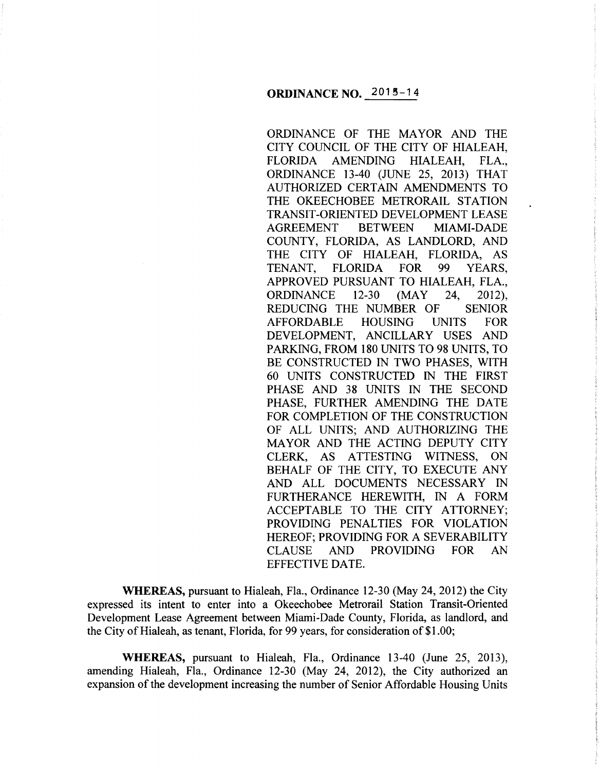ORDINANCE OF THE MAYOR AND THE CITY COUNCIL OF THE CITY OF HIALEAH, FLORIDA AMENDING HIALEAH, FLA., ORDINANCE 13-40 (JUNE 25, 2013) THAT AUTHORIZED CERTAIN AMENDMENTS TO THE OKEECHOBEE METRORAIL STATION TRANSIT -ORIENTED DEVELOPMENT LEASE AGREEMENT BETWEEN MIAMI-DADE COUNTY, FLORIDA, AS LANDLORD, AND THE CITY OF HIALEAH, FLORIDA, AS TENANT, FLORIDA FOR 99 YEARS, APPROVED PURSUANT TO HIALEAH, FLA., ORDINANCE 12-30 (MAY 24, 2012), REDUCING THE NUMBER OF SENIOR AFFORDABLE HOUSING UNITS FOR DEVELOPMENT, ANCILLARY USES AND PARKING, FROM 180 UNITS TO 98 UNITS, TO BE CONSTRUCTED IN TWO PHASES, WITH 60 UNITS CONSTRUCTED IN THE FIRST PHASE AND 38 UNITS IN THE SECOND PHASE, FURTHER AMENDING THE DATE FOR COMPLETION OF THE CONSTRUCTION OF ALL UNITS; AND AUTHORIZING THE MAYOR AND THE ACTING DEPUTY CITY CLERK, AS ATTESTING WITNESS, ON BEHALF OF THE CITY, TO EXECUTE ANY AND ALL DOCUMENTS NECESSARY IN FURTHERANCE HEREWITH, IN A FORM ACCEPTABLE TO THE CITY ATTORNEY; PROVIDING PENALTIES FOR VIOLATION HEREOF; PROVIDING FOR A SEVERABILITY CLAUSE AND PROVIDING FOR AN EFFECTIVE DATE.

**WHEREAS,** pursuant to Hialeah, Fla., Ordinance 12-30 (May 24, 2012) the City expressed its intent to enter into a Okeechobee Metrorail Station Transit-Oriented Development Lease Agreement between Miami-Dade County, Florida, as landlord, and the City of Hialeah, as tenant, Florida, for 99 years, for consideration of \$1.00;

**WHEREAS,** pursuant to Hialeah, Fla., Ordinance 13-40 (June 25, 2013), amending Hialeah, Fla., Ordinance 12-30 (May 24, 2012), the City authorized an expansion of the development increasing the number of Senior Affordable Housing Units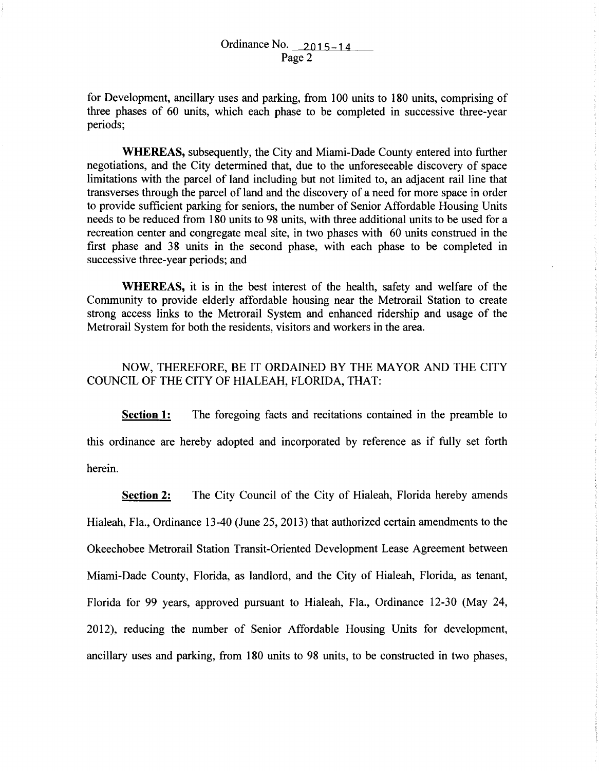for Development, ancillary uses and parking, from 100 units to 180 units, comprising of three phases of 60 units, which each phase to be completed in successive three-year periods;

**WHEREAS,** subsequently, the City and Miami-Dade County entered into further negotiations, and the City determined that, due to the unforeseeable discovery of space limitations with the parcel of land including but not limited to, an adjacent rail line that transverses through the parcel of land and the discovery of a need for more space in order to provide sufficient parking for seniors, the number of Senior Affordable Housing Units needs to be reduced from 180 units to 98 units, with three additional units to be used for a recreation center and congregate meal site, in two phases with 60 units construed in the first phase and 38 units in the second phase, with each phase to be completed in successive three-year periods; and

**WHEREAS,** it is in the best interest of the health, safety and welfare of the Community to provide elderly affordable housing near the Metrorail Station to create strong access links to the Metrorail System and enhanced ridership and usage of the Metrorail System for both the residents, visitors and workers in the area.

## NOW, THEREFORE, BE IT ORDAINED BY THE MAYOR AND THE CITY COUNCIL OF THE CITY OF HIALEAH, FLORIDA, THAT:

**Section 1:** The foregoing facts and recitations contained in the preamble to this ordinance are hereby adopted and incorporated by reference as if fully set forth herein.

**Section 2:** The City Council of the City of Hialeah, Florida hereby amends Hialeah, Fla., Ordinance 13-40 (June 25, 2013) that authorized certain amendments to the Okeechobee Metrorail Station Transit-Oriented Development Lease Agreement between Miami-Dade County, Florida, as landlord, and the City of Hialeah, Florida, as tenant, Florida for 99 years, approved pursuant to Hialeah, Fla., Ordinance 12-30 (May 24, 2012), reducing the number of Senior Affordable Housing Units for development, ancillary uses and parking, from 180 units to 98 units, to be constructed in two phases,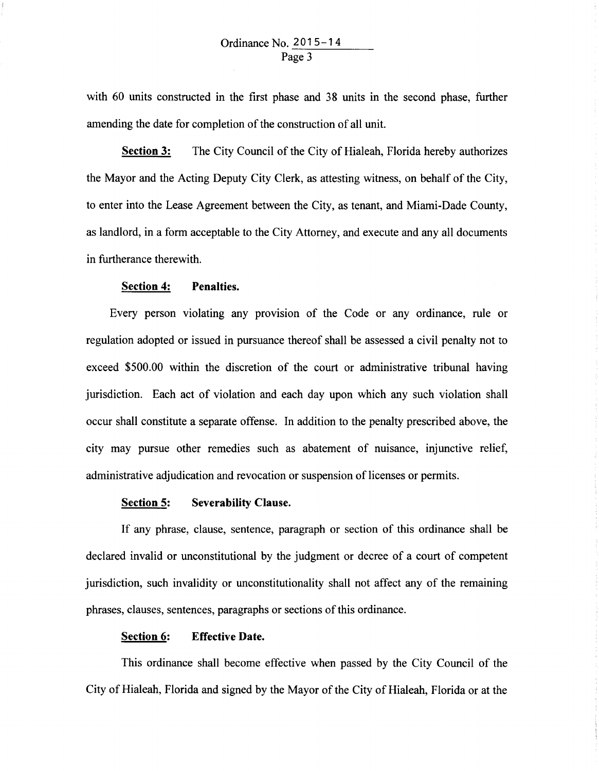with 60 units constructed in the first phase and 38 units in the second phase, further amending the date for completion of the construction of all unit.

**Section 3:** The City Council of the City of Hialeah, Florida hereby authorizes the Mayor and the Acting Deputy City Clerk, as attesting witness, on behalf of the City, to enter into the Lease Agreement between the City, as tenant, and Miami-Dade County, as landlord, in a form acceptable to the City Attorney, and execute and any all documents in furtherance therewith.

#### **Section 4: Penalties.**

Every person violating any provision of the Code or any ordinance, rule or regulation adopted or issued in pursuance thereof shall be assessed a civil penalty not to exceed \$500.00 within the discretion of the court or administrative tribunal having jurisdiction. Each act of violation and each day upon which any such violation shall occur shall constitute a separate offense. In addition to the penalty prescribed above, the city may pursue other remedies such as abatement of nuisance, injunctive relief, administrative adjudication and revocation or suspension of licenses or permits.

### **Section 5: Severability Clause.**

If any phrase, clause, sentence, paragraph or section of this ordinance shall be declared invalid or unconstitutional by the judgment or decree of a court of competent jurisdiction, such invalidity or unconstitutionality shall not affect any of the remaining phrases, clauses, sentences, paragraphs or sections of this ordinance.

#### **Section 6: Effective Date.**

This ordinance shall become effective when passed by the City Council of the City of Hialeah, Florida and signed by the Mayor of the City of Hialeah, Florida or at the